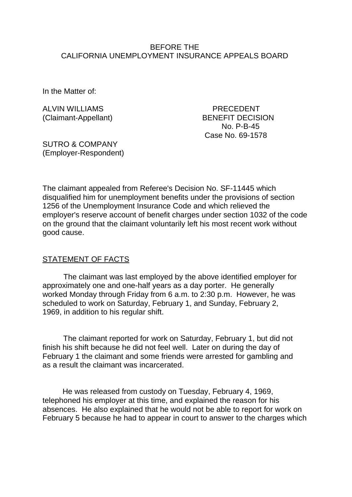#### BEFORE THE CALIFORNIA UNEMPLOYMENT INSURANCE APPEALS BOARD

In the Matter of:

ALVIN WILLIAMS PRECEDENT

(Claimant-Appellant) BENEFIT DECISION No. P-B-45 Case No. 69-1578

SUTRO & COMPANY (Employer-Respondent)

The claimant appealed from Referee's Decision No. SF-11445 which disqualified him for unemployment benefits under the provisions of section 1256 of the Unemployment Insurance Code and which relieved the employer's reserve account of benefit charges under section 1032 of the code on the ground that the claimant voluntarily left his most recent work without good cause.

#### STATEMENT OF FACTS

The claimant was last employed by the above identified employer for approximately one and one-half years as a day porter. He generally worked Monday through Friday from 6 a.m. to 2:30 p.m. However, he was scheduled to work on Saturday, February 1, and Sunday, February 2, 1969, in addition to his regular shift.

The claimant reported for work on Saturday, February 1, but did not finish his shift because he did not feel well. Later on during the day of February 1 the claimant and some friends were arrested for gambling and as a result the claimant was incarcerated.

He was released from custody on Tuesday, February 4, 1969, telephoned his employer at this time, and explained the reason for his absences. He also explained that he would not be able to report for work on February 5 because he had to appear in court to answer to the charges which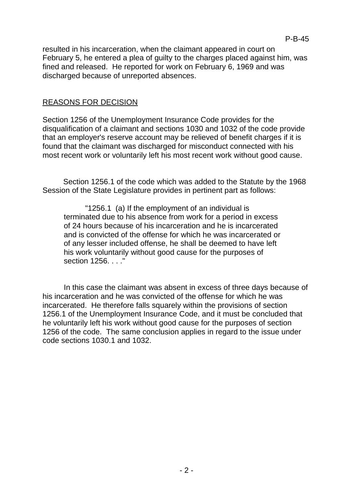resulted in his incarceration, when the claimant appeared in court on February 5, he entered a plea of guilty to the charges placed against him, was fined and released. He reported for work on February 6, 1969 and was discharged because of unreported absences.

## REASONS FOR DECISION

Section 1256 of the Unemployment Insurance Code provides for the disqualification of a claimant and sections 1030 and 1032 of the code provide that an employer's reserve account may be relieved of benefit charges if it is found that the claimant was discharged for misconduct connected with his most recent work or voluntarily left his most recent work without good cause.

Section 1256.1 of the code which was added to the Statute by the 1968 Session of the State Legislature provides in pertinent part as follows:

"1256.1 (a) If the employment of an individual is terminated due to his absence from work for a period in excess of 24 hours because of his incarceration and he is incarcerated and is convicted of the offense for which he was incarcerated or of any lesser included offense, he shall be deemed to have left his work voluntarily without good cause for the purposes of section 1256. . . ."

In this case the claimant was absent in excess of three days because of his incarceration and he was convicted of the offense for which he was incarcerated. He therefore falls squarely within the provisions of section 1256.1 of the Unemployment Insurance Code, and it must be concluded that he voluntarily left his work without good cause for the purposes of section 1256 of the code. The same conclusion applies in regard to the issue under code sections 1030.1 and 1032.